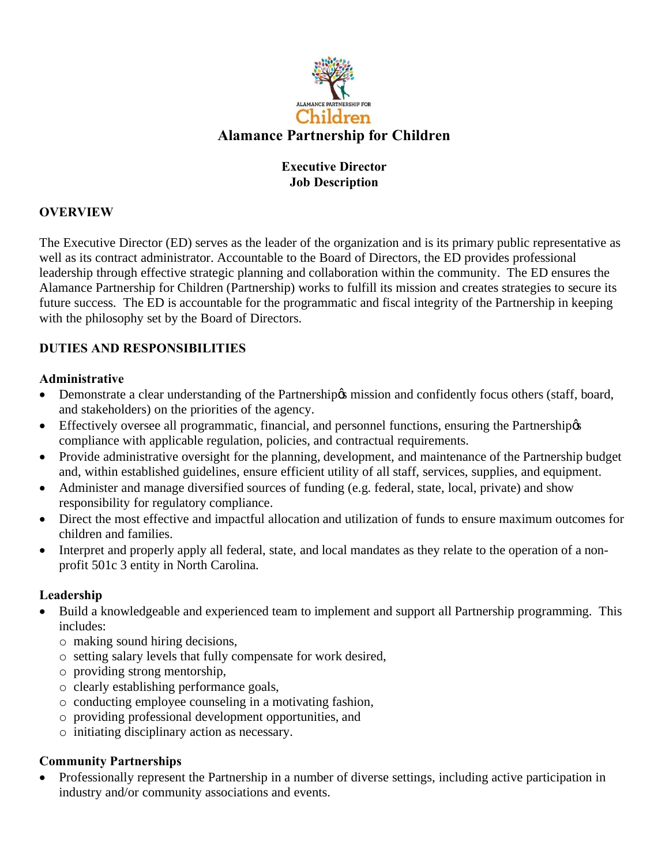

# **Executive Director Job Description**

## **OVERVIEW**

The Executive Director (ED) serves as the leader of the organization and is its primary public representative as well as its contract administrator. Accountable to the Board of Directors, the ED provides professional leadership through effective strategic planning and collaboration within the community. The ED ensures the Alamance Partnership for Children (Partnership) works to fulfill its mission and creates strategies to secure its future success. The ED is accountable for the programmatic and fiscal integrity of the Partnership in keeping with the philosophy set by the Board of Directors.

# **DUTIES AND RESPONSIBILITIES**

### **Administrative**

- Demonstrate a clear understanding of the Partnership ission and confidently focus others (staff, board, and stakeholders) on the priorities of the agency.
- Effectively oversee all programmatic, financial, and personnel functions, ensuring the Partnership compliance with applicable regulation, policies, and contractual requirements.
- Provide administrative oversight for the planning, development, and maintenance of the Partnership budget and, within established guidelines, ensure efficient utility of all staff, services, supplies, and equipment.
- Administer and manage diversified sources of funding (e.g. federal, state, local, private) and show responsibility for regulatory compliance.
- · Direct the most effective and impactful allocation and utilization of funds to ensure maximum outcomes for children and families.
- · Interpret and properly apply all federal, state, and local mandates as they relate to the operation of a nonprofit 501c 3 entity in North Carolina.

### **Leadership**

- · Build a knowledgeable and experienced team to implement and support all Partnership programming. This includes:
	- o making sound hiring decisions,
	- o setting salary levels that fully compensate for work desired,
	- o providing strong mentorship,
	- o clearly establishing performance goals,
	- o conducting employee counseling in a motivating fashion,
	- o providing professional development opportunities, and
	- o initiating disciplinary action as necessary.

### **Community Partnerships**

· Professionally represent the Partnership in a number of diverse settings, including active participation in industry and/or community associations and events.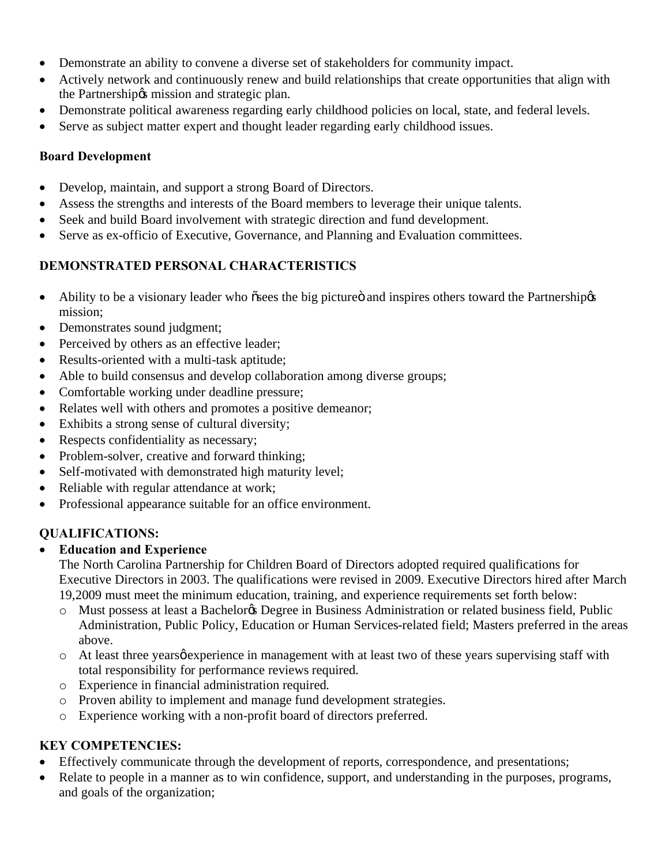- · Demonstrate an ability to convene a diverse set of stakeholders for community impact.
- · Actively network and continuously renew and build relationships that create opportunities that align with the Partnership is mission and strategic plan.
- Demonstrate political awareness regarding early childhood policies on local, state, and federal levels.
- Serve as subject matter expert and thought leader regarding early childhood issues.

## **Board Development**

- Develop, maintain, and support a strong Board of Directors.
- · Assess the strengths and interests of the Board members to leverage their unique talents.
- · Seek and build Board involvement with strategic direction and fund development.
- Serve as ex-officio of Executive, Governance, and Planning and Evaluation committees.

# **DEMONSTRATED PERSONAL CHARACTERISTICS**

- Ability to be a visionary leader who <sub>o</sub> Sees the big picture and inspires others toward the Partnership  $\alpha$ mission;
- Demonstrates sound judgment;
- Perceived by others as an effective leader;
- · Results-oriented with a multi-task aptitude;
- Able to build consensus and develop collaboration among diverse groups;
- Comfortable working under deadline pressure;
- Relates well with others and promotes a positive demeanor;
- Exhibits a strong sense of cultural diversity;
- Respects confidentiality as necessary;
- Problem-solver, creative and forward thinking;
- Self-motivated with demonstrated high maturity level;
- Reliable with regular attendance at work;
- Professional appearance suitable for an office environment.

# **QUALIFICATIONS:**

### · **Education and Experience**

The North Carolina Partnership for Children Board of Directors adopted required qualifications for Executive Directors in 2003. The qualifications were revised in 2009. Executive Directors hired after March 19,2009 must meet the minimum education, training, and experience requirements set forth below:

- $\circ$  Must possess at least a Bachelorgs Degree in Business Administration or related business field, Public Administration, Public Policy, Education or Human Services-related field; Masters preferred in the areas above.
- $\circ$  At least three years *o* experience in management with at least two of these years supervising staff with total responsibility for performance reviews required.
- o Experience in financial administration required.
- o Proven ability to implement and manage fund development strategies.
- o Experience working with a non-profit board of directors preferred.

# **KEY COMPETENCIES:**

- · Effectively communicate through the development of reports, correspondence, and presentations;
- Relate to people in a manner as to win confidence, support, and understanding in the purposes, programs, and goals of the organization;